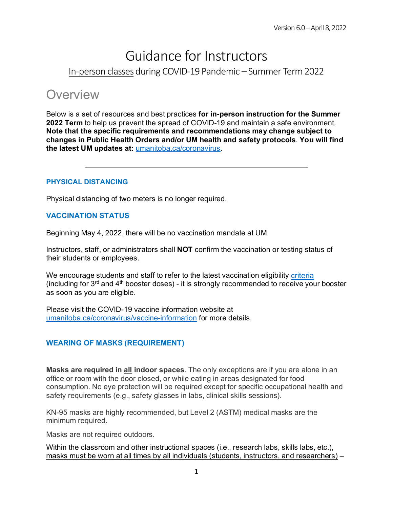# Guidance for Instructors In-person classes during COVID-19 Pandemic – Summer Term 2022

# **Overview**

Below is a set of resources and best practices **for in-person instruction for the Summer 2022 Term** to help us prevent the spread of COVID-19 and maintain a safe environment. **Note that the specific requirements and recommendations may change subject to changes in Public Health Orders and/or UM health and safety protocols**. **You will find the latest UM updates at:** [umanitoba.ca/coronavirus.](http://umanitoba.ca/coronavirus)

### **PHYSICAL DISTANCING**

Physical distancing of two meters is no longer required.

#### **VACCINATION STATUS**

Beginning May 4, 2022, there will be no vaccination mandate at UM.

Instructors, staff, or administrators shall **NOT** confirm the vaccination or testing status of their students or employees.

We encourage students and staff to refer to the latest vaccination eligibility [criteria](https://www.gov.mb.ca/covid19/vaccine/eligibility-criteria.html#third) (including for  $3^{rd}$  and  $4^{th}$  booster doses) - it is strongly recommended to receive your booster as soon as you are eligible.

Please visit the [COVID-19 vaccine information](https://umanitoba.ca/coronavirus/vaccine-information) website at [umanitoba.ca/coronavirus/vaccine-information](https://umanitoba.ca/coronavirus/vaccine-information) for more details.

### **WEARING OF MASKS (REQUIREMENT)**

**Masks are required in all indoor spaces**. The only exceptions are if you are alone in an office or room with the door closed, or while eating in areas designated for food consumption. No eye protection will be required except for specific occupational health and safety requirements (e.g., safety glasses in labs, clinical skills sessions).

KN-95 masks are highly recommended, but Level 2 (ASTM) medical masks are the minimum required.

Masks are not required outdoors.

Within the classroom and other instructional spaces (i.e., research labs, skills labs, etc.), masks must be worn at all times by all individuals (students, instructors, and researchers) –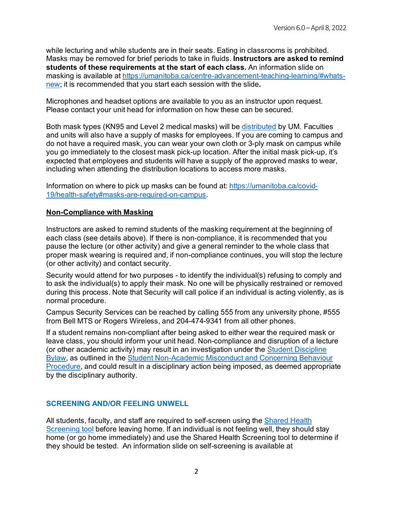while lecturing and while students are in their seats. Eating in classrooms is prohibited. Masks may be removed for brief periods to take in fluids. **Instructors are asked to remind students of these requirements at the start of each class.** An information slide on masking is available at [https://umanitoba.ca/centre-advancement-teaching-learning/#whats](https://umanitoba.ca/centre-advancement-teaching-learning/#whats-new)[new;](https://umanitoba.ca/centre-advancement-teaching-learning/#whats-new) it is recommended that you start each session with the slide**.**

Microphones and headset options are available to you as an instructor upon request. Please contact your unit head for information on how these can be secured.

Both mask types (KN95 and Level 2 medical masks) will be [distributed](https://umanitoba.ca/covid-19/health-safety#mask-use) by UM. Faculties and units will also have a supply of masks for employees. If you are coming to campus and do not have a required mask, you can wear your own cloth or 3-ply mask on campus while you go immediately to the closest mask pick-up location. After the initial mask pick-up, it's expected that employees and students will have a supply of the approved masks to wear, including when attending the distribution locations to access more masks.

Information on where to pick up masks can be found at: [https://umanitoba.ca/covid-](https://umanitoba.ca/covid-19/health-safety#masks-are-required-on-campus)[19/health-safety#masks-are-required-on-campus.](https://umanitoba.ca/covid-19/health-safety#masks-are-required-on-campus)

#### **Non-Compliance with Masking**

Instructors are asked to remind students of the masking requirement at the beginning of each class (see details above). If there is non-compliance, it is recommended that you pause the lecture (or other activity) and give a general reminder to the whole class that proper mask wearing is required and, if non-compliance continues, you will stop the lecture (or other activity) and contact security.

Security would attend for two purposes - to identify the individual(s) refusing to comply and to ask the individual(s) to apply their mask. No one will be physically restrained or removed during this process. Note that Security will call police if an individual is acting violently, as is normal procedure.

Campus Security Services can be reached by calling 555 from any university phone, #555 from Bell MTS or Rogers Wireless, and 204-474-9341 from all other phones.

If a student remains non-compliant after being asked to either wear the required mask or leave class, you should inform your unit head. Non-compliance and disruption of a lecture (or other academic activity) may result in an investigation under the [Student Discipline](https://umanitoba.ca/governance/governing-documents-students#student-discipline)  [Bylaw,](https://umanitoba.ca/governance/governing-documents-students#student-discipline) as outlined in the [Student Non-Academic Misconduct and Concerning Behaviour](https://umanitoba.ca/governance/governing-documents-students#student-discipline)  [Procedure,](https://umanitoba.ca/governance/governing-documents-students#student-discipline) and could result in a disciplinary action being imposed, as deemed appropriate by the disciplinary authority.

### **SCREENING AND/OR FEELING UNWELL**

All students, faculty, and staff are required to self-screen using the [Shared Health](https://sharedhealthmb.ca/covid19/screening-tool/)  [Screening tool](https://sharedhealthmb.ca/covid19/screening-tool/) before leaving home. If an individual is not feeling well, they should stay home (or go home immediately) and use the Shared Health Screening tool to determine if they should be tested. An information slide on self-screening is available at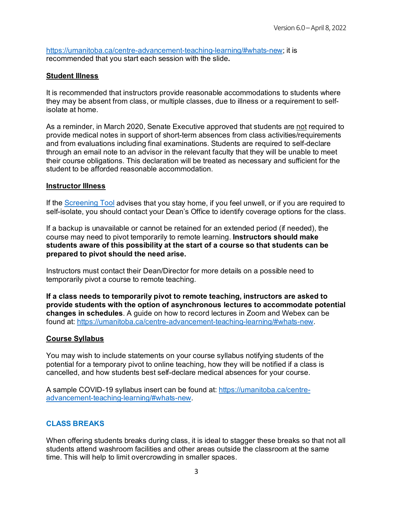[https://umanitoba.ca/centre-advancement-teaching-learning/#whats-new;](https://umanitoba.ca/centre-advancement-teaching-learning/#whats-new) it is recommended that you start each session with the slide**.**

## **Student Illness**

It is recommended that instructors provide reasonable accommodations to students where they may be absent from class, or multiple classes, due to illness or a requirement to selfisolate at home.

As a reminder, in March 2020, Senate Executive approved that students are not required to provide medical notes in support of short-term absences from class activities/requirements and from evaluations including final examinations. Students are required to self-declare through an email note to an advisor in the relevant faculty that they will be unable to meet their course obligations. This declaration will be treated as necessary and sufficient for the student to be afforded reasonable accommodation.

### **Instructor Illness**

If the [Screening Tool](https://sharedhealthmb.ca/covid19/screening-tool/) advises that you stay home, if you feel unwell, or if you are required to self-isolate, you should contact your Dean's Office to identify coverage options for the class.

If a backup is unavailable or cannot be retained for an extended period (if needed), the course may need to pivot temporarily to remote learning. **Instructors should make students aware of this possibility at the start of a course so that students can be prepared to pivot should the need arise.**

Instructors must contact their Dean/Director for more details on a possible need to temporarily pivot a course to remote teaching.

**If a class needs to temporarily pivot to remote teaching, instructors are asked to provide students with the option of asynchronous lectures to accommodate potential changes in schedules**. A guide on how to record lectures in Zoom and Webex can be found at: [https://umanitoba.ca/centre-advancement-teaching-learning/#whats-new.](https://umanitoba.ca/centre-advancement-teaching-learning/#whats-new)

### **Course Syllabus**

You may wish to include statements on your course syllabus notifying students of the potential for a temporary pivot to online teaching, how they will be notified if a class is cancelled, and how students best self-declare medical absences for your course.

A sample COVID-19 syllabus insert can be found at: [https://umanitoba.ca/centre](https://umanitoba.ca/centre-advancement-teaching-learning/#whats-new)[advancement-teaching-learning/#whats-new.](https://umanitoba.ca/centre-advancement-teaching-learning/#whats-new)

### **CLASS BREAKS**

When offering students breaks during class, it is ideal to stagger these breaks so that not all students attend washroom facilities and other areas outside the classroom at the same time. This will help to limit overcrowding in smaller spaces.